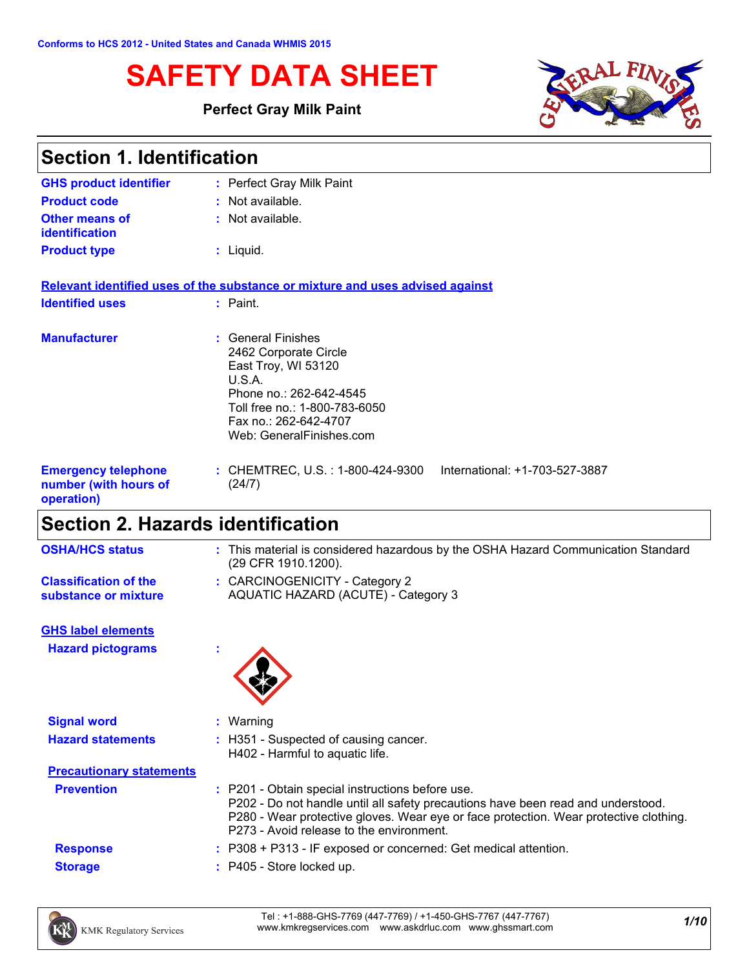# **SAFETY DATA SHEET**

### **Perfect Gray Milk Paint**



| <b>Section 1. Identification</b>                                  |                                                                                                                                                                                               |  |
|-------------------------------------------------------------------|-----------------------------------------------------------------------------------------------------------------------------------------------------------------------------------------------|--|
| <b>GHS product identifier</b>                                     | : Perfect Gray Milk Paint                                                                                                                                                                     |  |
| <b>Product code</b>                                               | $:$ Not available.                                                                                                                                                                            |  |
| <b>Other means of</b><br><i>identification</i>                    | : Not available.                                                                                                                                                                              |  |
| <b>Product type</b>                                               | $:$ Liquid.                                                                                                                                                                                   |  |
|                                                                   | Relevant identified uses of the substance or mixture and uses advised against                                                                                                                 |  |
| <b>Identified uses</b>                                            | : Paint.                                                                                                                                                                                      |  |
| <b>Manufacturer</b>                                               | : General Finishes<br>2462 Corporate Circle<br>East Troy, WI 53120<br>U.S.A.<br>Phone no.: 262-642-4545<br>Toll free no.: 1-800-783-6050<br>Fax no.: 262-642-4707<br>Web: GeneralFinishes.com |  |
| <b>Emergency telephone</b><br>number (with hours of<br>operation) | : CHEMTREC, U.S. : 1-800-424-9300<br>International: +1-703-527-3887<br>(24/7)                                                                                                                 |  |
|                                                                   |                                                                                                                                                                                               |  |

## **Section 2. Hazards identification**

**Signal word :** Warning

| <b>OSHA/HCS status</b>                               | : This material is considered hazardous by the OSHA Hazard Communication Standard<br>(29 CFR 1910.1200). |
|------------------------------------------------------|----------------------------------------------------------------------------------------------------------|
| <b>Classification of the</b><br>substance or mixture | : CARCINOGENICITY - Category 2<br>AQUATIC HAZARD (ACUTE) - Category 3                                    |
| <b>GHS label elements</b>                            |                                                                                                          |

**Hazard pictograms :**



| <b>Hazard statements</b>        | : H351 - Suspected of causing cancer.<br>H402 - Harmful to aquatic life.                                                                                                                                                                                                  |
|---------------------------------|---------------------------------------------------------------------------------------------------------------------------------------------------------------------------------------------------------------------------------------------------------------------------|
| <b>Precautionary statements</b> |                                                                                                                                                                                                                                                                           |
| <b>Prevention</b>               | : P201 - Obtain special instructions before use.<br>P202 - Do not handle until all safety precautions have been read and understood.<br>P280 - Wear protective gloves. Wear eye or face protection. Wear protective clothing.<br>P273 - Avoid release to the environment. |
| <b>Response</b>                 | $\therefore$ P308 + P313 - IF exposed or concerned: Get medical attention.                                                                                                                                                                                                |
| <b>Storage</b>                  | : P405 - Store locked up.                                                                                                                                                                                                                                                 |
|                                 |                                                                                                                                                                                                                                                                           |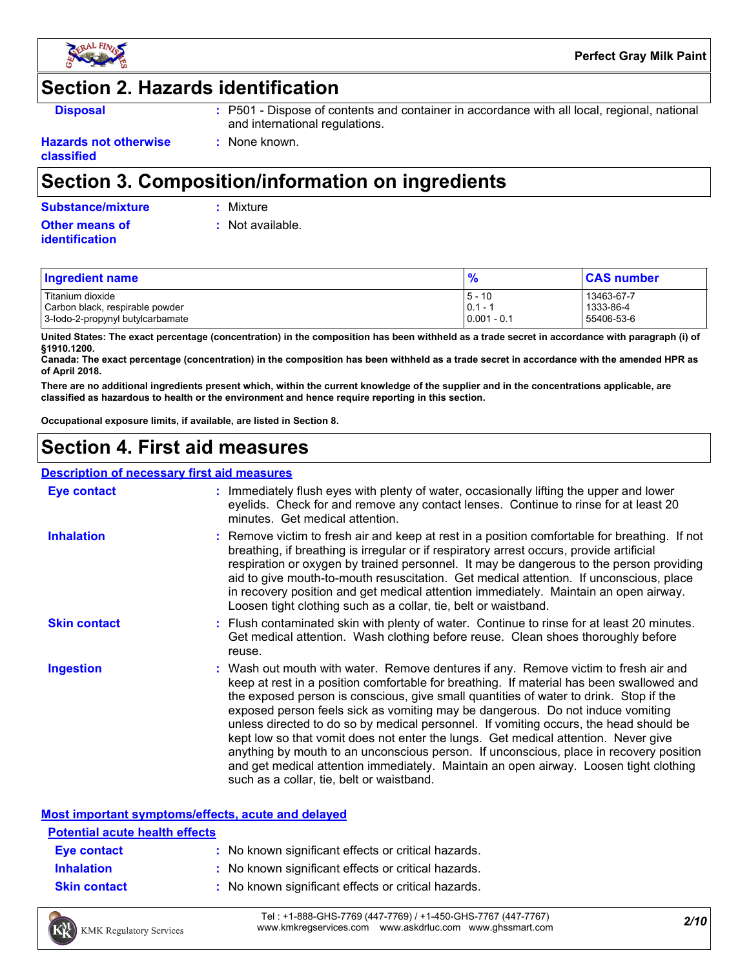

## **Section 2. Hazards identification**

- **Disposal 19501 :** P501 Dispose of contents and container in accordance with all local, regional, national and international regulations.
- **Hazards not otherwise classified**

## **Section 3. Composition/information on ingredients**

**:** None known.

|  | <b>Substance/mixture</b> |  |
|--|--------------------------|--|
|  |                          |  |

**Substance/mixture :** Mixture

**Other means of identification**

**:** Not available.

| <b>Ingredient name</b>           | 0.            | <b>CAS number</b> |
|----------------------------------|---------------|-------------------|
| l Titanium dioxide               | $5 - 10$      | 13463-67-7        |
| Carbon black, respirable powder  | $0.1 - 1$     | 1333-86-4         |
| 3-lodo-2-propynyl butylcarbamate | $0.001 - 0.1$ | 55406-53-6        |

**United States: The exact percentage (concentration) in the composition has been withheld as a trade secret in accordance with paragraph (i) of §1910.1200.**

**Canada: The exact percentage (concentration) in the composition has been withheld as a trade secret in accordance with the amended HPR as of April 2018.**

**There are no additional ingredients present which, within the current knowledge of the supplier and in the concentrations applicable, are classified as hazardous to health or the environment and hence require reporting in this section.**

**Occupational exposure limits, if available, are listed in Section 8.**

## **Section 4. First aid measures**

#### **Description of necessary first aid measures**

| <b>Eye contact</b>  | : Immediately flush eyes with plenty of water, occasionally lifting the upper and lower<br>eyelids. Check for and remove any contact lenses. Continue to rinse for at least 20<br>minutes. Get medical attention.                                                                                                                                                                                                                                                                                                                                                                                                                                                                                                                                                         |
|---------------------|---------------------------------------------------------------------------------------------------------------------------------------------------------------------------------------------------------------------------------------------------------------------------------------------------------------------------------------------------------------------------------------------------------------------------------------------------------------------------------------------------------------------------------------------------------------------------------------------------------------------------------------------------------------------------------------------------------------------------------------------------------------------------|
| <b>Inhalation</b>   | : Remove victim to fresh air and keep at rest in a position comfortable for breathing. If not<br>breathing, if breathing is irregular or if respiratory arrest occurs, provide artificial<br>respiration or oxygen by trained personnel. It may be dangerous to the person providing<br>aid to give mouth-to-mouth resuscitation. Get medical attention. If unconscious, place<br>in recovery position and get medical attention immediately. Maintain an open airway.<br>Loosen tight clothing such as a collar, tie, belt or waistband.                                                                                                                                                                                                                                 |
| <b>Skin contact</b> | : Flush contaminated skin with plenty of water. Continue to rinse for at least 20 minutes.<br>Get medical attention. Wash clothing before reuse. Clean shoes thoroughly before<br>reuse.                                                                                                                                                                                                                                                                                                                                                                                                                                                                                                                                                                                  |
| <b>Ingestion</b>    | : Wash out mouth with water. Remove dentures if any. Remove victim to fresh air and<br>keep at rest in a position comfortable for breathing. If material has been swallowed and<br>the exposed person is conscious, give small quantities of water to drink. Stop if the<br>exposed person feels sick as vomiting may be dangerous. Do not induce vomiting<br>unless directed to do so by medical personnel. If vomiting occurs, the head should be<br>kept low so that vomit does not enter the lungs. Get medical attention. Never give<br>anything by mouth to an unconscious person. If unconscious, place in recovery position<br>and get medical attention immediately. Maintain an open airway. Loosen tight clothing<br>such as a collar, tie, belt or waistband. |

#### **Most important symptoms/effects, acute and delayed**

| <b>Potential acute health effects</b> |                                                     |  |  |
|---------------------------------------|-----------------------------------------------------|--|--|
| Eye contact                           | : No known significant effects or critical hazards. |  |  |
| <b>Inhalation</b>                     | : No known significant effects or critical hazards. |  |  |
| <b>Skin contact</b>                   | : No known significant effects or critical hazards. |  |  |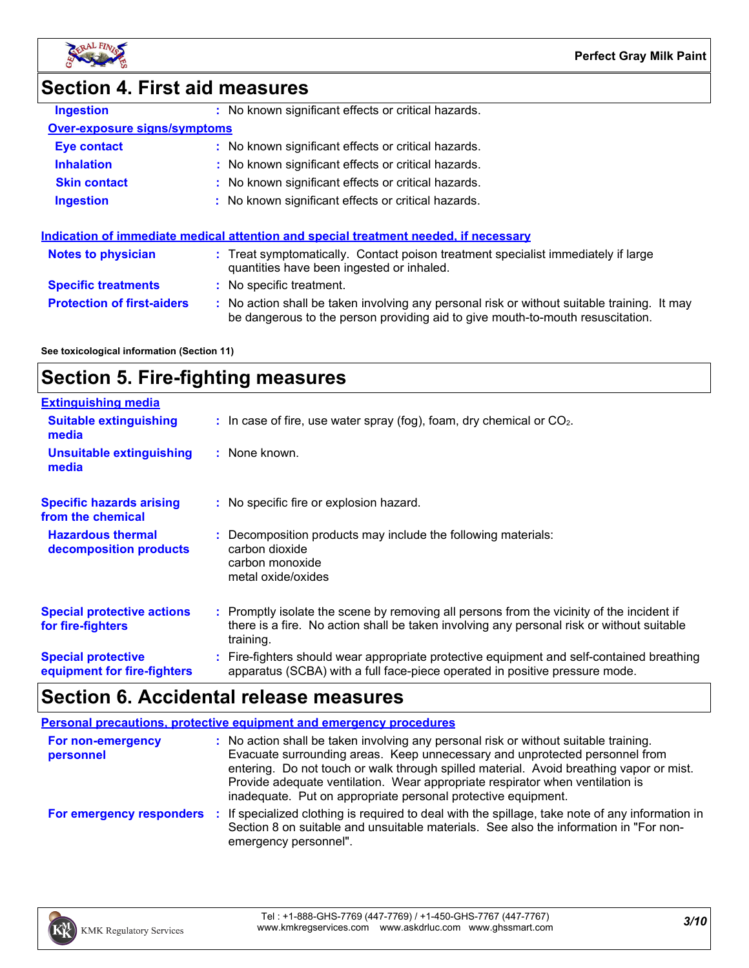



**Ingestion** 

### **Section 4. First aid measures**

| No known significant effects or critical hazards. |
|---------------------------------------------------|
|---------------------------------------------------|

### **Over-exposure signs/symptoms**

| <b>Eye contact</b>  | : No known significant effects or critical hazards. |
|---------------------|-----------------------------------------------------|
| <b>Inhalation</b>   | : No known significant effects or critical hazards. |
| <b>Skin contact</b> | : No known significant effects or critical hazards. |
| <b>Ingestion</b>    | : No known significant effects or critical hazards. |

|                                   | Indication of immediate medical attention and special treatment needed, if necessary                                                                                          |
|-----------------------------------|-------------------------------------------------------------------------------------------------------------------------------------------------------------------------------|
| <b>Notes to physician</b>         | : Treat symptomatically. Contact poison treatment specialist immediately if large<br>quantities have been ingested or inhaled.                                                |
| <b>Specific treatments</b>        | : No specific treatment.                                                                                                                                                      |
| <b>Protection of first-aiders</b> | : No action shall be taken involving any personal risk or without suitable training. It may<br>be dangerous to the person providing aid to give mouth-to-mouth resuscitation. |

#### **See toxicological information (Section 11)**

## **Section 5. Fire-fighting measures**

| <b>Extinguishing media</b>                               |                                                                                                                                                                                                     |
|----------------------------------------------------------|-----------------------------------------------------------------------------------------------------------------------------------------------------------------------------------------------------|
| <b>Suitable extinguishing</b><br>media                   | $\therefore$ In case of fire, use water spray (fog), foam, dry chemical or CO <sub>2</sub> .                                                                                                        |
| <b>Unsuitable extinguishing</b><br>media                 | : None known.                                                                                                                                                                                       |
| <b>Specific hazards arising</b><br>from the chemical     | : No specific fire or explosion hazard.                                                                                                                                                             |
| <b>Hazardous thermal</b><br>decomposition products       | : Decomposition products may include the following materials:<br>carbon dioxide<br>carbon monoxide<br>metal oxide/oxides                                                                            |
| <b>Special protective actions</b><br>for fire-fighters   | : Promptly isolate the scene by removing all persons from the vicinity of the incident if<br>there is a fire. No action shall be taken involving any personal risk or without suitable<br>training. |
| <b>Special protective</b><br>equipment for fire-fighters | : Fire-fighters should wear appropriate protective equipment and self-contained breathing<br>apparatus (SCBA) with a full face-piece operated in positive pressure mode.                            |

## **Section 6. Accidental release measures**

|                                | <b>Personal precautions, protective equipment and emergency procedures</b>                                                                                                                                                                                                                                                                                                                                       |
|--------------------------------|------------------------------------------------------------------------------------------------------------------------------------------------------------------------------------------------------------------------------------------------------------------------------------------------------------------------------------------------------------------------------------------------------------------|
| For non-emergency<br>personnel | : No action shall be taken involving any personal risk or without suitable training.<br>Evacuate surrounding areas. Keep unnecessary and unprotected personnel from<br>entering. Do not touch or walk through spilled material. Avoid breathing vapor or mist.<br>Provide adequate ventilation. Wear appropriate respirator when ventilation is<br>inadequate. Put on appropriate personal protective equipment. |
| For emergency responders       | : If specialized clothing is required to deal with the spillage, take note of any information in<br>Section 8 on suitable and unsuitable materials. See also the information in "For non-<br>emergency personnel".                                                                                                                                                                                               |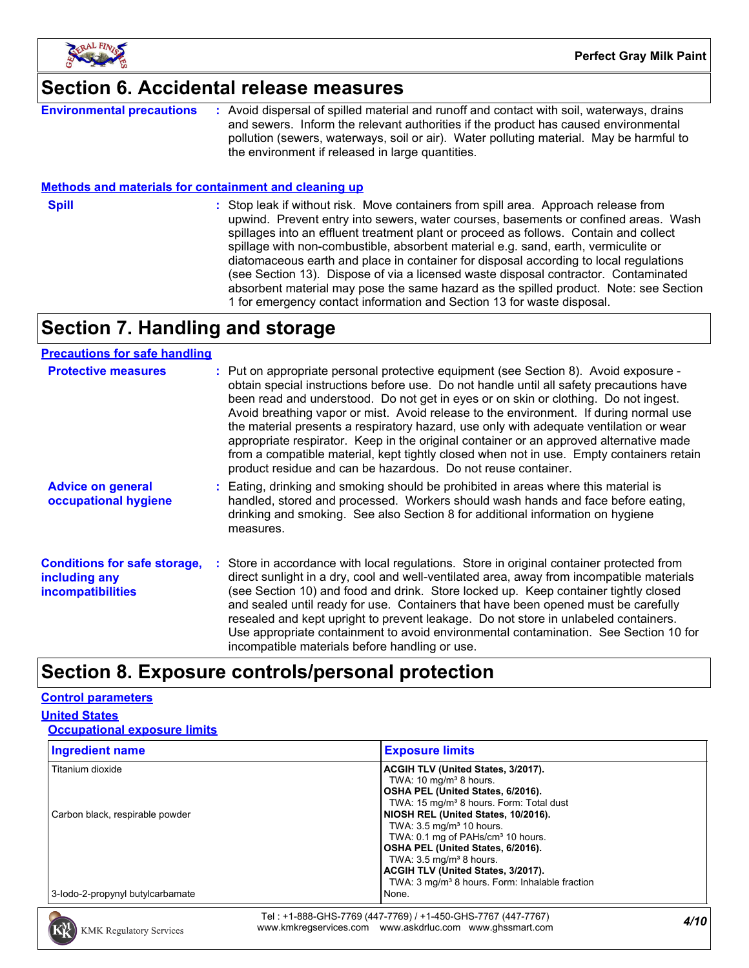

### **Section 6. Accidental release measures**

**Environmental precautions :** Avoid dispersal of spilled material and runoff and contact with soil, waterways, drains and sewers. Inform the relevant authorities if the product has caused environmental pollution (sewers, waterways, soil or air). Water polluting material. May be harmful to the environment if released in large quantities.

#### **Methods and materials for containment and cleaning up**

**Spill** Stop leak if without risk. Move containers from spill area. Approach release from spill upwind. Prevent entry into sewers, water courses, basements or confined areas. Wash spillages into an effluent treatment plant or proceed as follows. Contain and collect spillage with non-combustible, absorbent material e.g. sand, earth, vermiculite or diatomaceous earth and place in container for disposal according to local regulations (see Section 13). Dispose of via a licensed waste disposal contractor. Contaminated absorbent material may pose the same hazard as the spilled product. Note: see Section 1 for emergency contact information and Section 13 for waste disposal.

## **Section 7. Handling and storage**

#### **Precautions for safe handling**

| <b>Protective measures</b>                                                       | : Put on appropriate personal protective equipment (see Section 8). Avoid exposure -<br>obtain special instructions before use. Do not handle until all safety precautions have<br>been read and understood. Do not get in eyes or on skin or clothing. Do not ingest.<br>Avoid breathing vapor or mist. Avoid release to the environment. If during normal use<br>the material presents a respiratory hazard, use only with adequate ventilation or wear<br>appropriate respirator. Keep in the original container or an approved alternative made<br>from a compatible material, kept tightly closed when not in use. Empty containers retain<br>product residue and can be hazardous. Do not reuse container. |
|----------------------------------------------------------------------------------|------------------------------------------------------------------------------------------------------------------------------------------------------------------------------------------------------------------------------------------------------------------------------------------------------------------------------------------------------------------------------------------------------------------------------------------------------------------------------------------------------------------------------------------------------------------------------------------------------------------------------------------------------------------------------------------------------------------|
| <b>Advice on general</b><br>occupational hygiene                                 | Eating, drinking and smoking should be prohibited in areas where this material is<br>handled, stored and processed. Workers should wash hands and face before eating,<br>drinking and smoking. See also Section 8 for additional information on hygiene<br>measures.                                                                                                                                                                                                                                                                                                                                                                                                                                             |
| <b>Conditions for safe storage,</b><br>including any<br><i>incompatibilities</i> | Store in accordance with local regulations. Store in original container protected from<br>direct sunlight in a dry, cool and well-ventilated area, away from incompatible materials<br>(see Section 10) and food and drink. Store locked up. Keep container tightly closed<br>and sealed until ready for use. Containers that have been opened must be carefully<br>resealed and kept upright to prevent leakage. Do not store in unlabeled containers.<br>Use appropriate containment to avoid environmental contamination. See Section 10 for<br>incompatible materials before handling or use.                                                                                                                |

### **Section 8. Exposure controls/personal protection**

### **Control parameters**

### **United States**

| <b>Occupational exposure limits</b> |
|-------------------------------------|
|                                     |

| <b>Ingredient name</b>           | <b>Exposure limits</b>                                     |
|----------------------------------|------------------------------------------------------------|
| Titanium dioxide                 | ACGIH TLV (United States, 3/2017).                         |
|                                  | TWA: $10 \text{ mg/m}^3$ 8 hours.                          |
|                                  | OSHA PEL (United States, 6/2016).                          |
|                                  | TWA: 15 mg/m <sup>3</sup> 8 hours. Form: Total dust        |
| Carbon black, respirable powder  | NIOSH REL (United States, 10/2016).                        |
|                                  | TWA: $3.5 \text{ mg/m}^3$ 10 hours.                        |
|                                  | TWA: 0.1 mg of PAHs/cm <sup>3</sup> 10 hours.              |
|                                  | OSHA PEL (United States, 6/2016).                          |
|                                  | TWA: $3.5 \text{ mg/m}^3$ 8 hours.                         |
|                                  | ACGIH TLV (United States, 3/2017).                         |
|                                  | TWA: 3 mg/m <sup>3</sup> 8 hours. Form: Inhalable fraction |
| 3-lodo-2-propynyl butylcarbamate | None.                                                      |

*4/10* Tel : +1-888-GHS-7769 (447-7769) / +1-450-GHS-7767 (447-7767) www.kmkregservices.com www.askdrluc.com www.ghssmart.com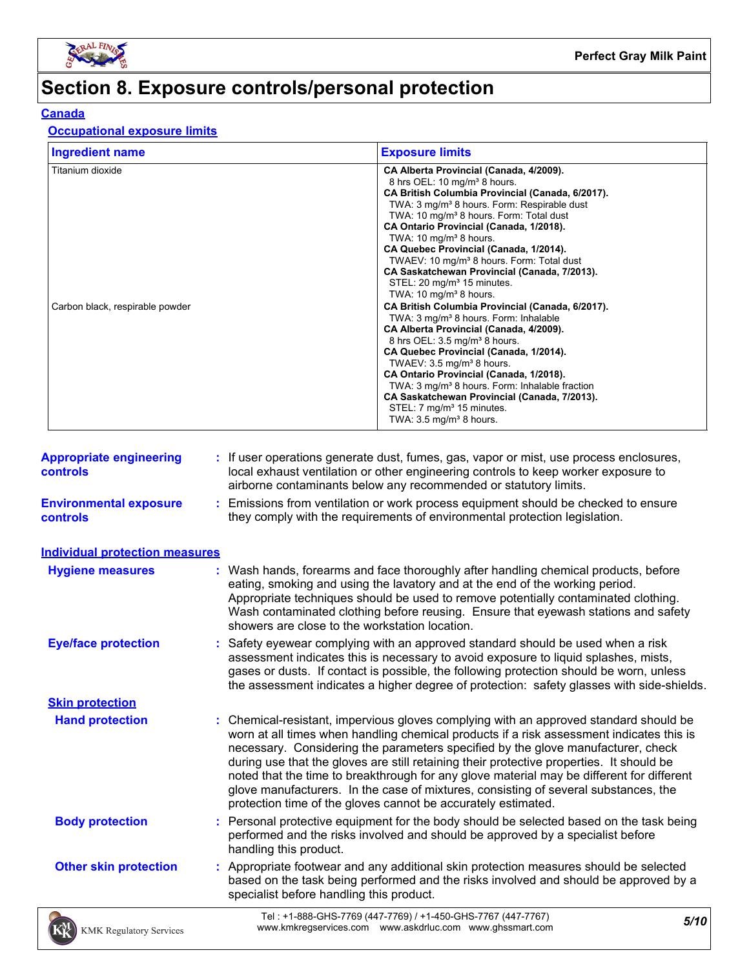

# **Section 8. Exposure controls/personal protection**

### **Canada**

#### **Occupational exposure limits**

| <b>Ingredient name</b>                              | <b>Exposure limits</b>                                                                                                                                                                                                                                                                                                                                                                                                                                                                                                                                                                                                                                                                                                                                                                                                                                                                                                                                                                                                                                                                                 |
|-----------------------------------------------------|--------------------------------------------------------------------------------------------------------------------------------------------------------------------------------------------------------------------------------------------------------------------------------------------------------------------------------------------------------------------------------------------------------------------------------------------------------------------------------------------------------------------------------------------------------------------------------------------------------------------------------------------------------------------------------------------------------------------------------------------------------------------------------------------------------------------------------------------------------------------------------------------------------------------------------------------------------------------------------------------------------------------------------------------------------------------------------------------------------|
| Titanium dioxide<br>Carbon black, respirable powder | CA Alberta Provincial (Canada, 4/2009).<br>8 hrs OEL: 10 mg/m <sup>3</sup> 8 hours.<br>CA British Columbia Provincial (Canada, 6/2017).<br>TWA: 3 mg/m <sup>3</sup> 8 hours. Form: Respirable dust<br>TWA: 10 mg/m <sup>3</sup> 8 hours. Form: Total dust<br>CA Ontario Provincial (Canada, 1/2018).<br>TWA: $10 \text{ mg/m}^3$ 8 hours.<br>CA Quebec Provincial (Canada, 1/2014).<br>TWAEV: 10 mg/m <sup>3</sup> 8 hours. Form: Total dust<br>CA Saskatchewan Provincial (Canada, 7/2013).<br>STEL: 20 mg/m <sup>3</sup> 15 minutes.<br>TWA: $10 \text{ mg/m}^3$ 8 hours.<br>CA British Columbia Provincial (Canada, 6/2017).<br>TWA: 3 mg/m <sup>3</sup> 8 hours. Form: Inhalable<br>CA Alberta Provincial (Canada, 4/2009).<br>8 hrs OEL: 3.5 mg/m <sup>3</sup> 8 hours.<br>CA Quebec Provincial (Canada, 1/2014).<br>TWAEV: $3.5 \text{ mg/m}^3$ 8 hours.<br>CA Ontario Provincial (Canada, 1/2018).<br>TWA: 3 mg/m <sup>3</sup> 8 hours. Form: Inhalable fraction<br>CA Saskatchewan Provincial (Canada, 7/2013).<br>STEL: 7 mg/m <sup>3</sup> 15 minutes.<br>TWA: $3.5 \text{ mg/m}^3$ 8 hours. |

| <b>Appropriate engineering</b><br><b>controls</b> | : If user operations generate dust, fumes, gas, vapor or mist, use process enclosures,<br>local exhaust ventilation or other engineering controls to keep worker exposure to<br>airborne contaminants below any recommended or statutory limits.                                                                                                                                                                                                                                                                                                                                                                       |
|---------------------------------------------------|------------------------------------------------------------------------------------------------------------------------------------------------------------------------------------------------------------------------------------------------------------------------------------------------------------------------------------------------------------------------------------------------------------------------------------------------------------------------------------------------------------------------------------------------------------------------------------------------------------------------|
| <b>Environmental exposure</b><br><b>controls</b>  | : Emissions from ventilation or work process equipment should be checked to ensure<br>they comply with the requirements of environmental protection legislation.                                                                                                                                                                                                                                                                                                                                                                                                                                                       |
| <b>Individual protection measures</b>             |                                                                                                                                                                                                                                                                                                                                                                                                                                                                                                                                                                                                                        |
| <b>Hygiene measures</b>                           | : Wash hands, forearms and face thoroughly after handling chemical products, before<br>eating, smoking and using the lavatory and at the end of the working period.<br>Appropriate techniques should be used to remove potentially contaminated clothing.<br>Wash contaminated clothing before reusing. Ensure that eyewash stations and safety<br>showers are close to the workstation location.                                                                                                                                                                                                                      |
| <b>Eye/face protection</b>                        | : Safety eyewear complying with an approved standard should be used when a risk<br>assessment indicates this is necessary to avoid exposure to liquid splashes, mists,<br>gases or dusts. If contact is possible, the following protection should be worn, unless<br>the assessment indicates a higher degree of protection: safety glasses with side-shields.                                                                                                                                                                                                                                                         |
| <b>Skin protection</b>                            |                                                                                                                                                                                                                                                                                                                                                                                                                                                                                                                                                                                                                        |
| <b>Hand protection</b>                            | : Chemical-resistant, impervious gloves complying with an approved standard should be<br>worn at all times when handling chemical products if a risk assessment indicates this is<br>necessary. Considering the parameters specified by the glove manufacturer, check<br>during use that the gloves are still retaining their protective properties. It should be<br>noted that the time to breakthrough for any glove material may be different for different<br>glove manufacturers. In the case of mixtures, consisting of several substances, the<br>protection time of the gloves cannot be accurately estimated. |
| <b>Body protection</b>                            | : Personal protective equipment for the body should be selected based on the task being<br>performed and the risks involved and should be approved by a specialist before<br>handling this product.                                                                                                                                                                                                                                                                                                                                                                                                                    |
| <b>Other skin protection</b>                      | : Appropriate footwear and any additional skin protection measures should be selected<br>based on the task being performed and the risks involved and should be approved by a<br>specialist before handling this product.                                                                                                                                                                                                                                                                                                                                                                                              |
| <b>KMK Regulatory Services</b>                    | Tel: +1-888-GHS-7769 (447-7769) / +1-450-GHS-7767 (447-7767)<br>5/10<br>www.kmkregservices.com www.askdrluc.com www.ghssmart.com                                                                                                                                                                                                                                                                                                                                                                                                                                                                                       |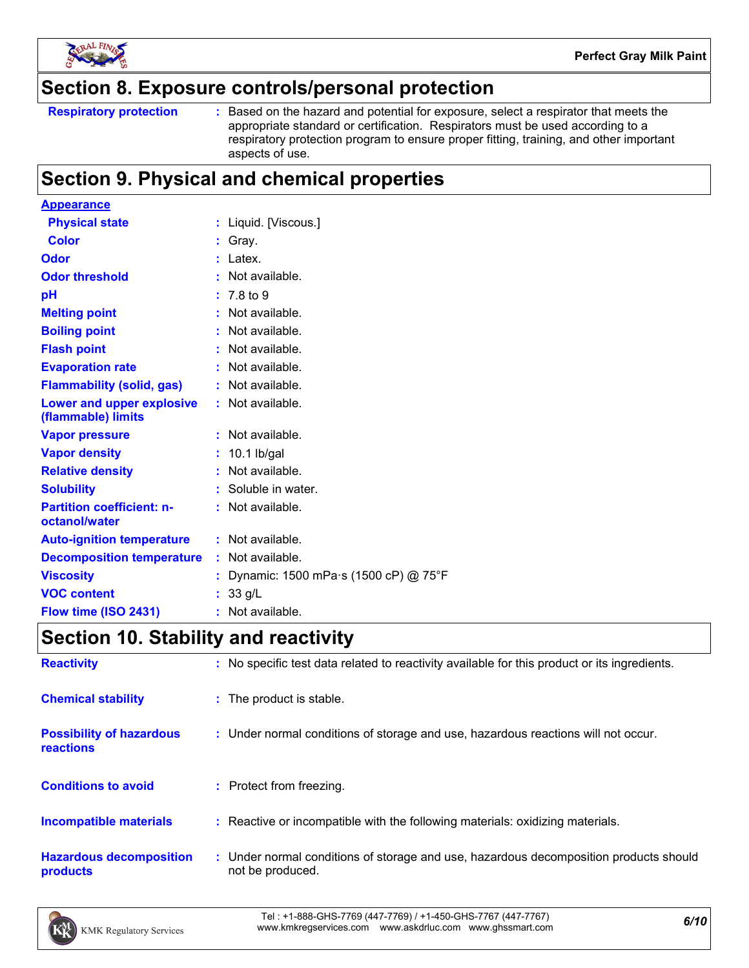

### **Section 8. Exposure controls/personal protection**

```
Respiratory protection :
```
Based on the hazard and potential for exposure, select a respirator that meets the appropriate standard or certification. Respirators must be used according to a respiratory protection program to ensure proper fitting, training, and other important aspects of use.

## **Section 9. Physical and chemical properties**

| : Liquid. [Viscous.]                 |
|--------------------------------------|
| $:$ Gray.                            |
| $:$ Latex.                           |
| $:$ Not available.                   |
| $: 7.8 \text{ to } 9$                |
| $:$ Not available.                   |
| : Not available.                     |
| : Not available.                     |
| : Not available.                     |
| : Not available.                     |
| : Not available.                     |
| : Not available.                     |
| $: 10.1$ lb/gal                      |
| $:$ Not available.                   |
| : Soluble in water.                  |
| : Not available.                     |
| : Not available.                     |
| $:$ Not available.                   |
| Dynamic: 1500 mPa s (1500 cP) @ 75°F |
| : 33 g/L                             |
| : Not available.                     |
|                                      |

## **Section 10. Stability and reactivity**

| <b>Reactivity</b>                            | : No specific test data related to reactivity available for this product or its ingredients.              |
|----------------------------------------------|-----------------------------------------------------------------------------------------------------------|
| <b>Chemical stability</b>                    | : The product is stable.                                                                                  |
| <b>Possibility of hazardous</b><br>reactions | : Under normal conditions of storage and use, hazardous reactions will not occur.                         |
| <b>Conditions to avoid</b>                   | : Protect from freezing.                                                                                  |
| <b>Incompatible materials</b>                | : Reactive or incompatible with the following materials: oxidizing materials.                             |
| <b>Hazardous decomposition</b><br>products   | : Under normal conditions of storage and use, hazardous decomposition products should<br>not be produced. |

*6/10* Tel : +1-888-GHS-7769 (447-7769) / +1-450-GHS-7767 (447-7767) www.kmkregservices.com www.askdrluc.com www.ghssmart.com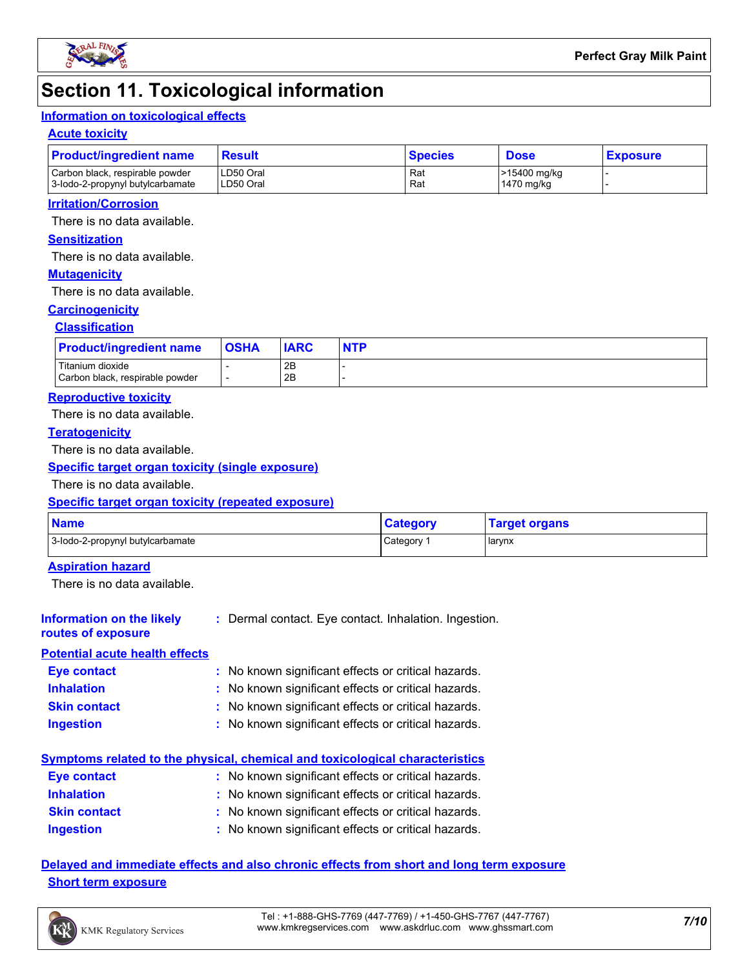

### **Section 11. Toxicological information**

### **Information on toxicological effects**

#### **Acute toxicity**

| <b>Product/ingredient name</b>                                      | Result                 | <b>Species</b> | <b>Dose</b>                | <b>Exposure</b> |  |
|---------------------------------------------------------------------|------------------------|----------------|----------------------------|-----------------|--|
| Carbon black, respirable powder<br>3-lodo-2-propynyl butylcarbamate | LD50 Oral<br>LD50 Oral | Rat<br>Rat     | >15400 mg/kg<br>1470 mg/kg |                 |  |

#### **Irritation/Corrosion**

There is no data available.

### **Sensitization**

There is no data available.

#### **Mutagenicity**

There is no data available.

#### **Carcinogenicity**

#### **Classification**

| <b>Product/ingredient name</b>                      | <b>OSHA</b> | <b>IARC</b> | <b>NTP</b> |
|-----------------------------------------------------|-------------|-------------|------------|
| Titanium dioxide<br>Carbon black, respirable powder |             | 2B<br>2B    |            |

#### **Reproductive toxicity**

There is no data available.

#### **Teratogenicity**

There is no data available.

#### **Specific target organ toxicity (single exposure)**

There is no data available.

#### **Specific target organ toxicity (repeated exposure)**

| <b>Name</b>                      | <b>Category</b> | <b>Target organs</b> |
|----------------------------------|-----------------|----------------------|
| 3-lodo-2-propynyl butylcarbamate | Category        | <b>I</b> larynx      |

#### **Aspiration hazard**

There is no data available.

#### **Information on the likely routes of exposure :** Dermal contact. Eye contact. Inhalation. Ingestion.

#### **Potential acute health effects**

| <b>Eye contact</b>  | : No known significant effects or critical hazards. |
|---------------------|-----------------------------------------------------|
| <b>Inhalation</b>   | : No known significant effects or critical hazards. |
| <b>Skin contact</b> | : No known significant effects or critical hazards. |
| <b>Ingestion</b>    | : No known significant effects or critical hazards. |

### **Symptoms related to the physical, chemical and toxicological characteristics**

| <b>Eve contact</b>  | : No known significant effects or critical hazards. |
|---------------------|-----------------------------------------------------|
| <b>Inhalation</b>   | : No known significant effects or critical hazards. |
| <b>Skin contact</b> | : No known significant effects or critical hazards. |
| <b>Ingestion</b>    | : No known significant effects or critical hazards. |

### **Delayed and immediate effects and also chronic effects from short and long term exposure Short term exposure**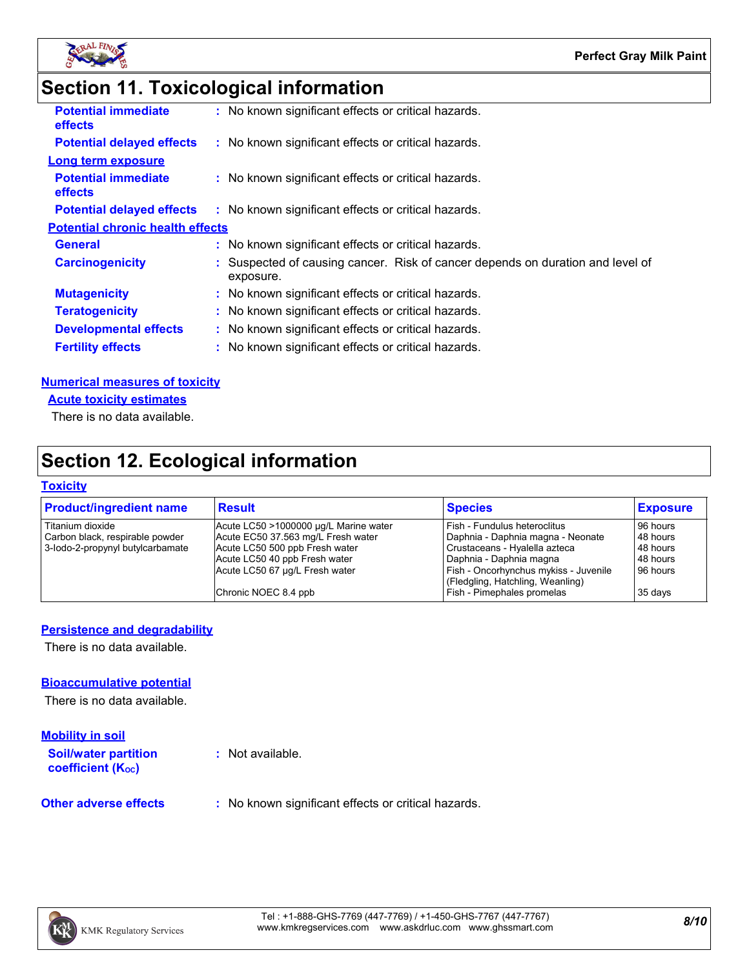

# **Section 11. Toxicological information**

| <b>Potential immediate</b><br><b>effects</b> |  | : No known significant effects or critical hazards.                                         |  |
|----------------------------------------------|--|---------------------------------------------------------------------------------------------|--|
| <b>Potential delayed effects</b>             |  | : No known significant effects or critical hazards.                                         |  |
| <b>Long term exposure</b>                    |  |                                                                                             |  |
| <b>Potential immediate</b><br>effects        |  | : No known significant effects or critical hazards.                                         |  |
| <b>Potential delayed effects</b>             |  | : No known significant effects or critical hazards.                                         |  |
| <b>Potential chronic health effects</b>      |  |                                                                                             |  |
| <b>General</b>                               |  | : No known significant effects or critical hazards.                                         |  |
| <b>Carcinogenicity</b>                       |  | : Suspected of causing cancer. Risk of cancer depends on duration and level of<br>exposure. |  |
| <b>Mutagenicity</b>                          |  | : No known significant effects or critical hazards.                                         |  |
| <b>Teratogenicity</b>                        |  | : No known significant effects or critical hazards.                                         |  |
| <b>Developmental effects</b>                 |  | : No known significant effects or critical hazards.                                         |  |
| <b>Fertility effects</b>                     |  | : No known significant effects or critical hazards.                                         |  |
|                                              |  |                                                                                             |  |

#### **Numerical measures of toxicity**

**Acute toxicity estimates**

There is no data available.

## **Section 12. Ecological information**

#### **Toxicity**

| <b>Product/ingredient name</b>   | Result                                | <b>Species</b>                        | <b>Exposure</b> |
|----------------------------------|---------------------------------------|---------------------------------------|-----------------|
| Titanium dioxide                 | Acute LC50 >1000000 µg/L Marine water | l Fish - Fundulus heteroclitus        | 96 hours        |
| Carbon black, respirable powder  | Acute EC50 37.563 mg/L Fresh water    | Daphnia - Daphnia magna - Neonate     | 48 hours        |
| 3-lodo-2-propynyl butylcarbamate | Acute LC50 500 ppb Fresh water        | Crustaceans - Hyalella azteca         | 48 hours        |
|                                  | Acute LC50 40 ppb Fresh water         | l Daphnia - Daphnia magna             | 48 hours        |
|                                  | Acute LC50 67 µg/L Fresh water        | Fish - Oncorhynchus mykiss - Juvenile | 96 hours        |
|                                  |                                       | (Fledgling, Hatchling, Weanling)      |                 |
|                                  | Chronic NOEC 8.4 ppb                  | Fish - Pimephales promelas            | 35 days         |
|                                  |                                       |                                       |                 |

#### **Persistence and degradability**

There is no data available.

#### **Bioaccumulative potential**

There is no data available.

| <b>Mobility in soil</b>                                 |                                                     |
|---------------------------------------------------------|-----------------------------------------------------|
| <b>Soil/water partition</b><br><b>coefficient (Koc)</b> | : Not available.                                    |
| <b>Other adverse effects</b>                            | : No known significant effects or critical hazards. |

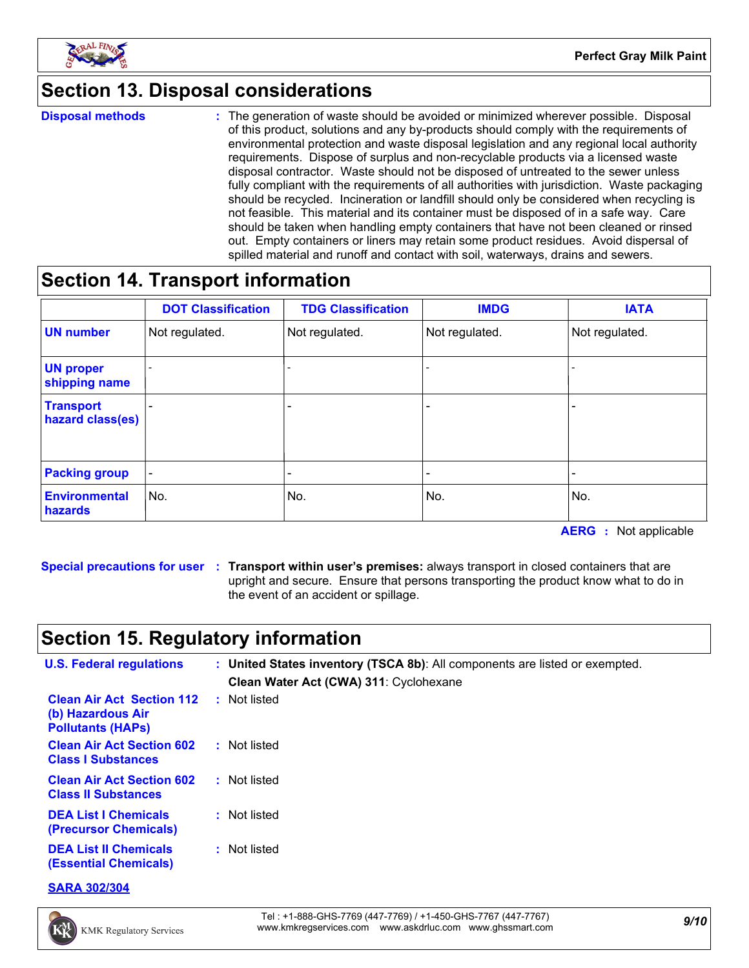

## **Section 13. Disposal considerations**

**Disposal methods :**

The generation of waste should be avoided or minimized wherever possible. Disposal of this product, solutions and any by-products should comply with the requirements of environmental protection and waste disposal legislation and any regional local authority requirements. Dispose of surplus and non-recyclable products via a licensed waste disposal contractor. Waste should not be disposed of untreated to the sewer unless fully compliant with the requirements of all authorities with jurisdiction. Waste packaging should be recycled. Incineration or landfill should only be considered when recycling is not feasible. This material and its container must be disposed of in a safe way. Care should be taken when handling empty containers that have not been cleaned or rinsed out. Empty containers or liners may retain some product residues. Avoid dispersal of spilled material and runoff and contact with soil, waterways, drains and sewers.

## **Section 14. Transport information**

|                                      | <b>DOT Classification</b> | <b>TDG Classification</b> | <b>IMDG</b>    | <b>IATA</b>              |
|--------------------------------------|---------------------------|---------------------------|----------------|--------------------------|
| <b>UN number</b>                     | Not regulated.            | Not regulated.            | Not regulated. | Not regulated.           |
| <b>UN proper</b><br>shipping name    |                           |                           |                |                          |
| <b>Transport</b><br>hazard class(es) |                           | $\overline{\phantom{0}}$  |                |                          |
| <b>Packing group</b>                 | $\overline{\phantom{a}}$  | $\overline{\phantom{0}}$  |                | $\overline{\phantom{0}}$ |
| <b>Environmental</b><br>hazards      | No.                       | No.                       | No.            | No.                      |

**AERG :** Not applicable

**Special precautions for user Transport within user's premises:** always transport in closed containers that are **:** upright and secure. Ensure that persons transporting the product know what to do in the event of an accident or spillage.

## **Section 15. Regulatory information**

| <b>U.S. Federal regulations</b>                                                   | : United States inventory (TSCA 8b): All components are listed or exempted.<br>Clean Water Act (CWA) 311: Cyclohexane |
|-----------------------------------------------------------------------------------|-----------------------------------------------------------------------------------------------------------------------|
| <b>Clean Air Act Section 112</b><br>(b) Hazardous Air<br><b>Pollutants (HAPS)</b> | : Not listed                                                                                                          |
| <b>Clean Air Act Section 602</b><br><b>Class I Substances</b>                     | : Not listed                                                                                                          |
| <b>Clean Air Act Section 602</b><br><b>Class II Substances</b>                    | : Not listed                                                                                                          |
| <b>DEA List I Chemicals</b><br>(Precursor Chemicals)                              | : Not listed                                                                                                          |
| <b>DEA List II Chemicals</b><br><b>(Essential Chemicals)</b>                      | : Not listed                                                                                                          |

**SARA 302/304**